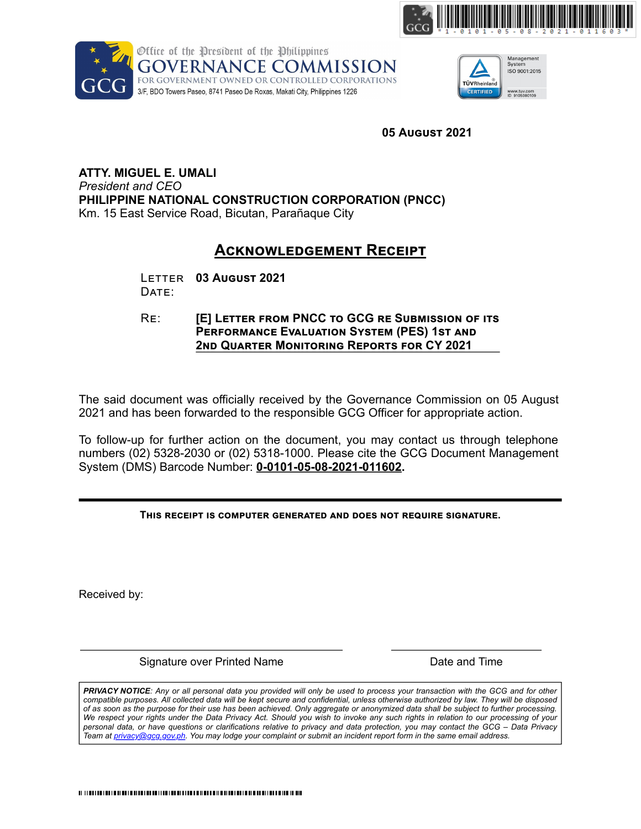





**ATTY. MIGUEL E. UMALI**  *President and CEO* **PHILIPPINE NATIONAL CONSTRUCTION CORPORATION (PNCC)** Km. 15 East Service Road, Bicutan, Parañaque City JEL E. UMALI<br> *nd CEO*<br>
E **NATIONAL CONSTRUCTION CORPORATION (P**<br>
t Service Road, Bicutan, Parañaque City<br> **ACKNOWLEDGEMENT RECEIP**<br>
LETTER 03 August 2021 **JEL E. UMALI<br>
DRE CEO<br>
E NATIONAL CONSTRUCTION CORPOR<br>
E Service Road, Bicutan, Parañaque City<br>
ACKNOWLEDGEMENT<br>
LETTER 03 AUGUST 2021<br>
DATE:** AL CONSTRUCTION CORPORATION (PNCC)<br>Road, Bicutan, Parañaque City<br>**ACKNOWLEDGEMENT RECEIPT**<br>03 August 2021 PHile of the President of the Philippines<br>
GOVERNANCE COMMISSION<br>
FREE RESOLUTE COMMISSION<br>
FREE RESOLUTE COMMISSION<br> **IEL E. UMALI**<br>
IEL E. UMALI<br>
POCO<br>
ENTIONAL CONSTRUCTION CORPORATION (PNCC)<br>
SERVICE ROGIC SUBMISSION<br> **PERFORMANCE COMMISSION**<br> **PRIMER COMMISSION**<br> **PRIMER COMMISSION**<br> **PRIMER COMMISSION**<br> **PRIMER COMMISSION**<br> **PERFORMANCE COMMISSION**<br> **PERFORMANCE SYSTEM (PRIMER SYSTEM (PRIMER)**<br> **PERFORMANCE EVALUATION SYSTEM (PES) 1ST 2**<br> **2NDANCE COMMISSION**<br> **2NDANCE COMMISSION**<br> **2nd**<br> **2nd**<br> **2nd**<br> **2nd**<br> **2nd**<br> **2nd**<br> **2nd**<br> **2nd**<br> **2nd**<br> **2dd**<br> **2nd**<br> **2dd**<br> **2nd**<br> **2nd**<br> **2nd**<br> **2nd**<br> **2nd**<br> **2nd**<br> **2nd This increase the State of the Spaint of the Spaint<br>
<b>THERNANTESTON COMPUTER COMPUTER**<br> **THERNANT CONFIDERED COMPUTERED**<br> **THERNANT CONFIDERED STATE:**<br> **THERNANT CONFIDERED CONFIDENCIAL CONFIDENCIAL CONFIDENCIAL CONFIDENC** 

# **ACKNOWLEDGEMENT RECEIPT<br>August 2021**

The said document was officially received by the Governance Commission on 05 August 2021 and has been forwarded to the responsible GCG Officer for appropriate action.

To follow-up for further action on the document, you may contact us through telephone numbers (02) 5328-2030 or (02) 5318-1000. Please cite the GCG Document Management System (DMS) Barcode Number: **0-0101-05-08-2021-011602.**

Received by:

Signature over Printed Name **Date and Time** Date and Time

**05 August 2021**<br> **CEIPT**<br> **EE SUBMISSION OF ITS**<br> **EE SUBMISSION OF ITS**<br> **ITS MORE TO AUGUST 2021**<br> **ACCES AUGUST 2021**<br>
<br> **CEORE TO AUGUST 2021**<br> **CEORE TO AUGUST 2021**<br> **CEORE TO AUGUST 2021**<br> **CEORE CONSTANT DE CONSTA** *PRIVACY NOTICE: Any or all personal data you provided will only be used to process your transaction with the GCG and for other compatible purposes. All collected data will be kept secure and confidential, unless otherwise authorized by law. They will be disposed of as soon as the purpose for their use has been achieved. Only aggregate or anonymized data shall be subject to further processing. We respect your rights under the Data Privacy Act. Should you wish to invoke any such rights in relation to our processing of your personal data, or have questions or clarifications relative to privacy and data protection, you may contact the GCG – Data Privacy Team at privacy@gcg.gov.ph. You may lodge your complaint or submit an incident report form in the same email address.*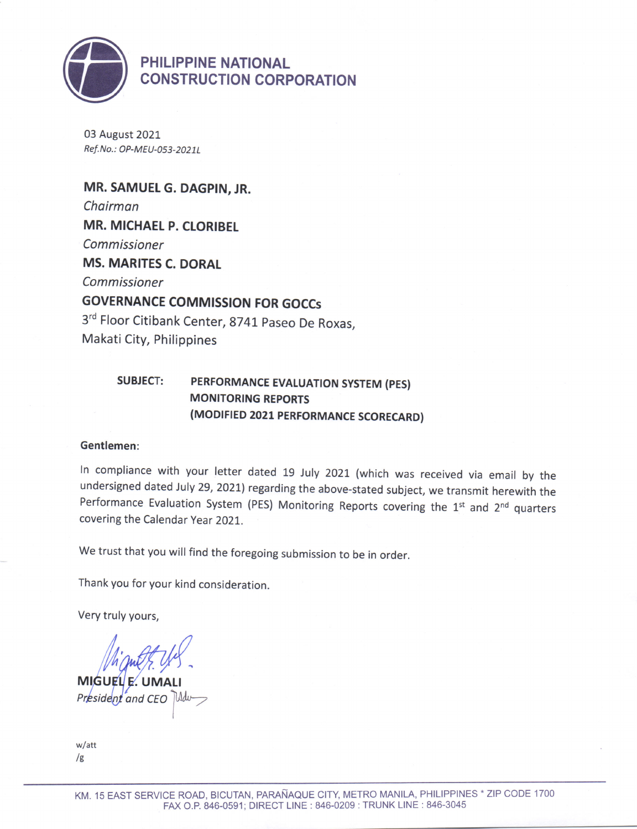

PHILIPPINE NATIONAL CONSTRUCTION CORPORATION

03 August 2021 Ref. No.: OP-MEU-053-2021L

MR. SAMUEL G. DAGPIN, JR. Choirman **MR. MICHAEL P. CLORIBEL** Commissioner MS. MARITES C. DORAL Commissioner GOVERNANCE COMMISSION FoR GoCCs 3<sup>rd</sup> Floor Citibank Center, 8741 Paseo De Roxas, Makati City, Philippines

### SUBJECT: PERFORMANCE EVALUATION SYSTEM (PES) MONITORING REPORTS (MODIFIED 2021 PERFORMANCE SCORECARD)

#### Gentlemen:

ln compliance with your letter dated 19 July 2021 (which was received via email by the undersigned dated July 29, 2021) regarding the above-stated subject, we transmit herewith the Performance Evaluation System (PES) Monitoring Reports covering the  $1<sup>st</sup>$  and  $2<sup>nd</sup>$  quarters covering the Calendar Year 2021..

We trust that you will find the foregoing submission to be in order.

Thank you for your kind consideration

Very truly yours,

**MIGUEL**  $E$ UMA President and CEO

w/att  $/g$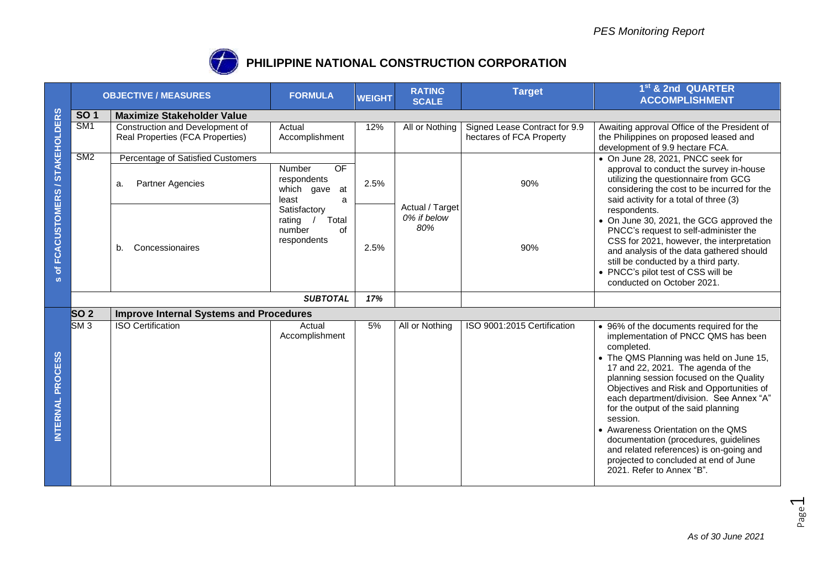

## **PHILIPPINE NATIONAL CONSTRUCTION CORPORATION**

|                                | <b>OBJECTIVE / MEASURES</b>                     |                                                                      | <b>FORMULA</b>                                                 | <b>WEIGHT</b> | <b>RATING</b><br><b>SCALE</b>         | <b>Target</b>                                                                                                                                                            | 1 <sup>st</sup> & 2nd QUARTER<br><b>ACCOMPLISHMENT</b>                                                                                                                                                                                                                                                                                                                                                                                                                                                                                                             |  |  |  |
|--------------------------------|-------------------------------------------------|----------------------------------------------------------------------|----------------------------------------------------------------|---------------|---------------------------------------|--------------------------------------------------------------------------------------------------------------------------------------------------------------------------|--------------------------------------------------------------------------------------------------------------------------------------------------------------------------------------------------------------------------------------------------------------------------------------------------------------------------------------------------------------------------------------------------------------------------------------------------------------------------------------------------------------------------------------------------------------------|--|--|--|
|                                | <b>SO1</b><br><b>Maximize Stakeholder Value</b> |                                                                      |                                                                |               |                                       |                                                                                                                                                                          |                                                                                                                                                                                                                                                                                                                                                                                                                                                                                                                                                                    |  |  |  |
| of FCACUSTOMERS / STAKEHOLDERS | $\overline{\text{SM1}}$                         | Construction and Development of<br>Real Properties (FCA Properties)  | Actual<br>Accomplishment                                       | 12%           | All or Nothing                        | Signed Lease Contract for 9.9<br>hectares of FCA Property                                                                                                                | Awaiting approval Office of the President of<br>the Philippines on proposed leased and<br>development of 9.9 hectare FCA.                                                                                                                                                                                                                                                                                                                                                                                                                                          |  |  |  |
|                                | SM2                                             | Percentage of Satisfied Customers                                    |                                                                |               |                                       |                                                                                                                                                                          | • On June 28, 2021, PNCC seek for                                                                                                                                                                                                                                                                                                                                                                                                                                                                                                                                  |  |  |  |
|                                | Partner Agencies<br>a.                          | <b>OF</b><br>Number<br>respondents<br>which gave<br>at<br>a<br>least | 2.5%                                                           |               | 90%                                   | approval to conduct the survey in-house<br>utilizing the questionnaire from GCG<br>considering the cost to be incurred for the<br>said activity for a total of three (3) |                                                                                                                                                                                                                                                                                                                                                                                                                                                                                                                                                                    |  |  |  |
| $\boldsymbol{\omega}$          |                                                 | Concessionaires<br>b.                                                | Satisfactory<br>Total<br>rating<br>number<br>of<br>respondents | 2.5%          | Actual / Target<br>0% if below<br>80% | 90%                                                                                                                                                                      | respondents.<br>• On June 30, 2021, the GCG approved the<br>PNCC's request to self-administer the<br>CSS for 2021, however, the interpretation<br>and analysis of the data gathered should<br>still be conducted by a third party.<br>• PNCC's pilot test of CSS will be<br>conducted on October 2021.                                                                                                                                                                                                                                                             |  |  |  |
|                                |                                                 |                                                                      | <b>SUBTOTAL</b>                                                | 17%           |                                       |                                                                                                                                                                          |                                                                                                                                                                                                                                                                                                                                                                                                                                                                                                                                                                    |  |  |  |
|                                | SO <sub>2</sub>                                 | <b>Improve Internal Systems and Procedures</b>                       |                                                                |               |                                       |                                                                                                                                                                          |                                                                                                                                                                                                                                                                                                                                                                                                                                                                                                                                                                    |  |  |  |
| INTERNAL PROCESS               | $S\overline{M}3$                                | <b>ISO Certification</b>                                             | Actual<br>Accomplishment                                       | 5%            | All or Nothing                        | ISO 9001:2015 Certification                                                                                                                                              | • 96% of the documents required for the<br>implementation of PNCC QMS has been<br>completed.<br>• The QMS Planning was held on June 15,<br>17 and 22, 2021. The agenda of the<br>planning session focused on the Quality<br>Objectives and Risk and Opportunities of<br>each department/division. See Annex "A"<br>for the output of the said planning<br>session.<br>• Awareness Orientation on the QMS<br>documentation (procedures, guidelines<br>and related references) is on-going and<br>projected to concluded at end of June<br>2021. Refer to Annex "B". |  |  |  |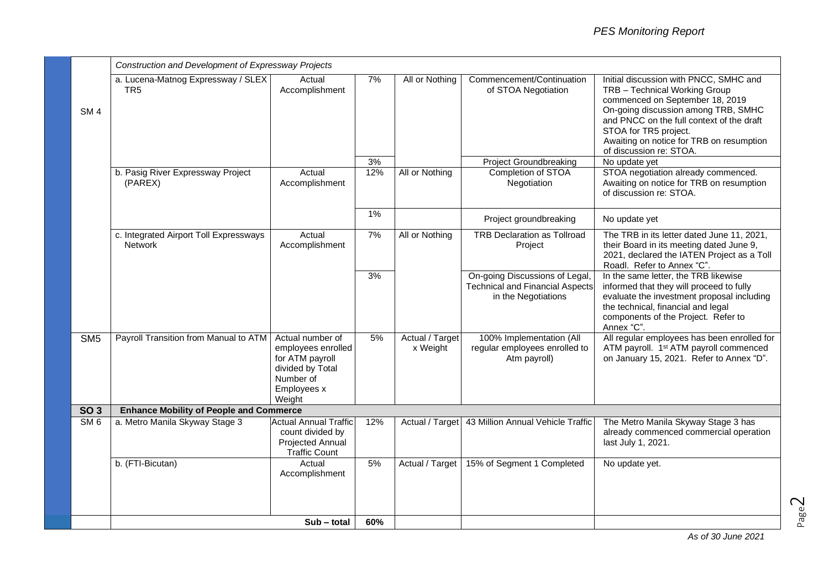|                 | Construction and Development of Expressway Projects      |                                                                                                                     |     |                             |                                                                                                 |                                                                                                                                                                                                                                                                                                |  |  |
|-----------------|----------------------------------------------------------|---------------------------------------------------------------------------------------------------------------------|-----|-----------------------------|-------------------------------------------------------------------------------------------------|------------------------------------------------------------------------------------------------------------------------------------------------------------------------------------------------------------------------------------------------------------------------------------------------|--|--|
| SM <sub>4</sub> | a. Lucena-Matnog Expressway / SLEX<br>TR <sub>5</sub>    | Actual<br>Accomplishment                                                                                            | 7%  | All or Nothing              | Commencement/Continuation<br>of STOA Negotiation                                                | Initial discussion with PNCC, SMHC and<br>TRB - Technical Working Group<br>commenced on September 18, 2019<br>On-going discussion among TRB, SMHC<br>and PNCC on the full context of the draft<br>STOA for TR5 project.<br>Awaiting on notice for TRB on resumption<br>of discussion re: STOA. |  |  |
|                 |                                                          |                                                                                                                     | 3%  |                             | <b>Project Groundbreaking</b>                                                                   | No update yet                                                                                                                                                                                                                                                                                  |  |  |
|                 | b. Pasig River Expressway Project<br>(PAREX)             | Actual<br>Accomplishment                                                                                            | 12% | All or Nothing              | Completion of STOA<br>Negotiation                                                               | STOA negotiation already commenced.<br>Awaiting on notice for TRB on resumption<br>of discussion re: STOA.                                                                                                                                                                                     |  |  |
|                 |                                                          |                                                                                                                     | 1%  |                             | Project groundbreaking                                                                          | No update yet                                                                                                                                                                                                                                                                                  |  |  |
|                 | c. Integrated Airport Toll Expressways<br><b>Network</b> | Actual<br>Accomplishment                                                                                            | 7%  | All or Nothing              | <b>TRB Declaration as Tollroad</b><br>Project                                                   | The TRB in its letter dated June 11, 2021,<br>their Board in its meeting dated June 9,<br>2021, declared the IATEN Project as a Toll<br>Roadl. Refer to Annex "C".                                                                                                                             |  |  |
|                 |                                                          |                                                                                                                     | 3%  |                             | On-going Discussions of Legal,<br><b>Technical and Financial Aspects</b><br>in the Negotiations | In the same letter, the TRB likewise<br>informed that they will proceed to fully<br>evaluate the investment proposal including<br>the technical, financial and legal<br>components of the Project. Refer to<br>Annex "C".                                                                      |  |  |
| SM <sub>5</sub> | Payroll Transition from Manual to ATM                    | Actual number of<br>employees enrolled<br>for ATM payroll<br>divided by Total<br>Number of<br>Employees x<br>Weight | 5%  | Actual / Target<br>x Weight | 100% Implementation (All<br>regular employees enrolled to<br>Atm payroll)                       | All regular employees has been enrolled for<br>ATM payroll. 1 <sup>st</sup> ATM payroll commenced<br>on January 15, 2021. Refer to Annex "D".                                                                                                                                                  |  |  |
| <b>SO 3</b>     | <b>Enhance Mobility of People and Commerce</b>           |                                                                                                                     |     |                             |                                                                                                 |                                                                                                                                                                                                                                                                                                |  |  |
| SM <sub>6</sub> | a. Metro Manila Skyway Stage 3                           | <b>Actual Annual Traffic</b><br>count divided by<br>Projected Annual<br><b>Traffic Count</b>                        | 12% | Actual / Target             | 43 Million Annual Vehicle Traffic                                                               | The Metro Manila Skyway Stage 3 has<br>already commenced commercial operation<br>last July 1, 2021.                                                                                                                                                                                            |  |  |
|                 | b. (FTI-Bicutan)                                         | Actual<br>Accomplishment                                                                                            | 5%  | Actual / Target             | 15% of Segment 1 Completed                                                                      | No update yet.                                                                                                                                                                                                                                                                                 |  |  |
|                 |                                                          | $Sub - total$                                                                                                       | 60% |                             |                                                                                                 |                                                                                                                                                                                                                                                                                                |  |  |

Page  $\mathrel{\sim}$